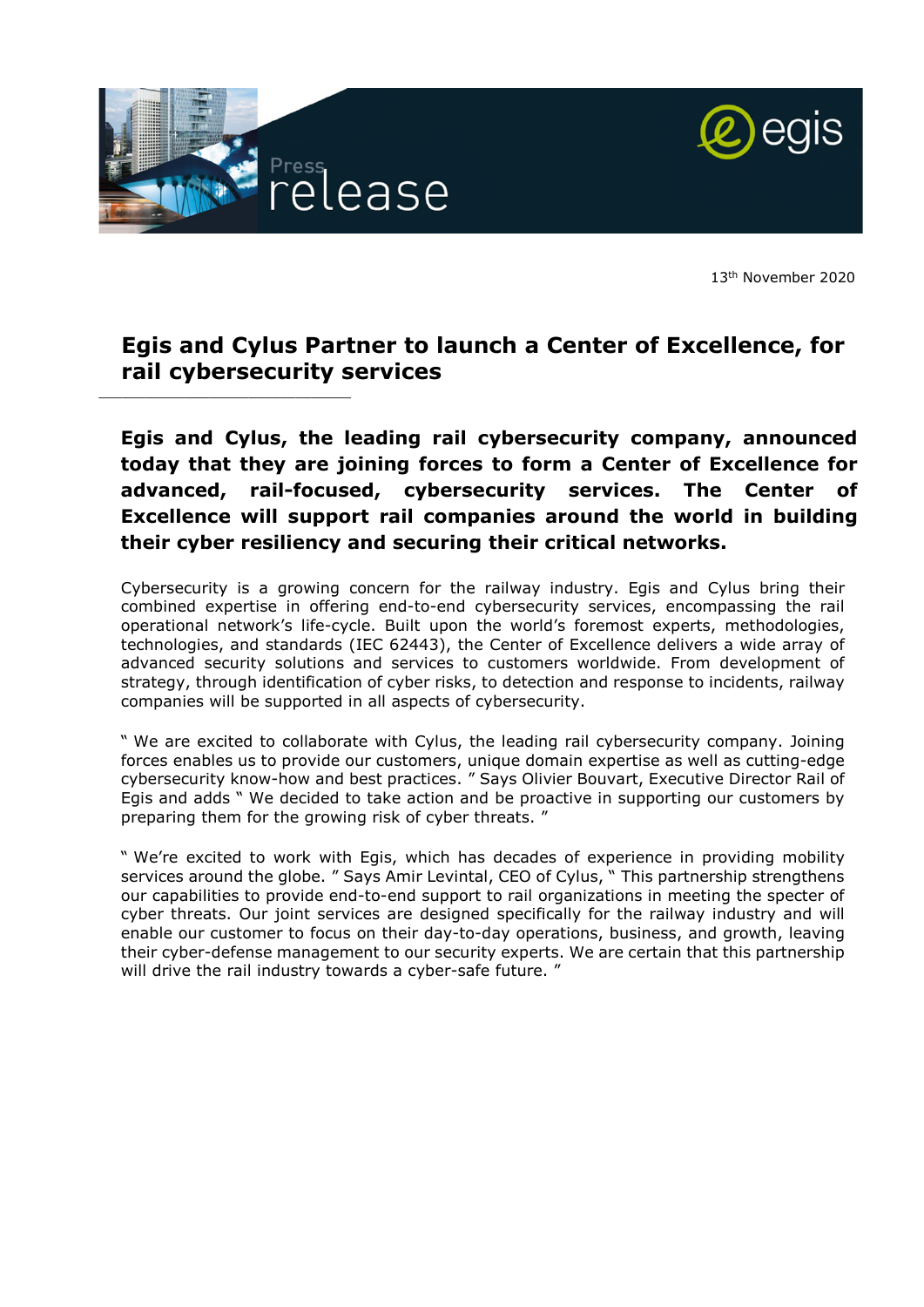

\_\_\_\_\_\_\_\_\_\_\_\_\_\_\_\_\_\_\_\_\_\_\_\_\_\_\_\_\_\_\_\_



13th November 2020

# **Egis and Cylus Partner to launch a Center of Excellence, for rail cybersecurity services**

**Egis and Cylus, the leading rail cybersecurity company, announced today that they are joining forces to form a Center of Excellence for advanced, rail-focused, cybersecurity services. The Center of Excellence will support rail companies around the world in building their cyber resiliency and securing their critical networks.** 

Cybersecurity is a growing concern for the railway industry. Egis and Cylus bring their combined expertise in offering end-to-end cybersecurity services, encompassing the rail operational network's life-cycle. Built upon the world's foremost experts, methodologies, technologies, and standards (IEC 62443), the Center of Excellence delivers a wide array of advanced security solutions and services to customers worldwide. From development of strategy, through identification of cyber risks, to detection and response to incidents, railway companies will be supported in all aspects of cybersecurity.

" We are excited to collaborate with Cylus, the leading rail cybersecurity company. Joining forces enables us to provide our customers, unique domain expertise as well as cutting-edge cybersecurity know-how and best practices. " Says Olivier Bouvart, Executive Director Rail of Egis and adds " We decided to take action and be proactive in supporting our customers by preparing them for the growing risk of cyber threats. "

" We're excited to work with Egis, which has decades of experience in providing mobility services around the globe. " Says Amir Levintal, CEO of Cylus, " This partnership strengthens our capabilities to provide end-to-end support to rail organizations in meeting the specter of cyber threats. Our joint services are designed specifically for the railway industry and will enable our customer to focus on their day-to-day operations, business, and growth, leaving their cyber-defense management to our security experts. We are certain that this partnership will drive the rail industry towards a cyber-safe future. "